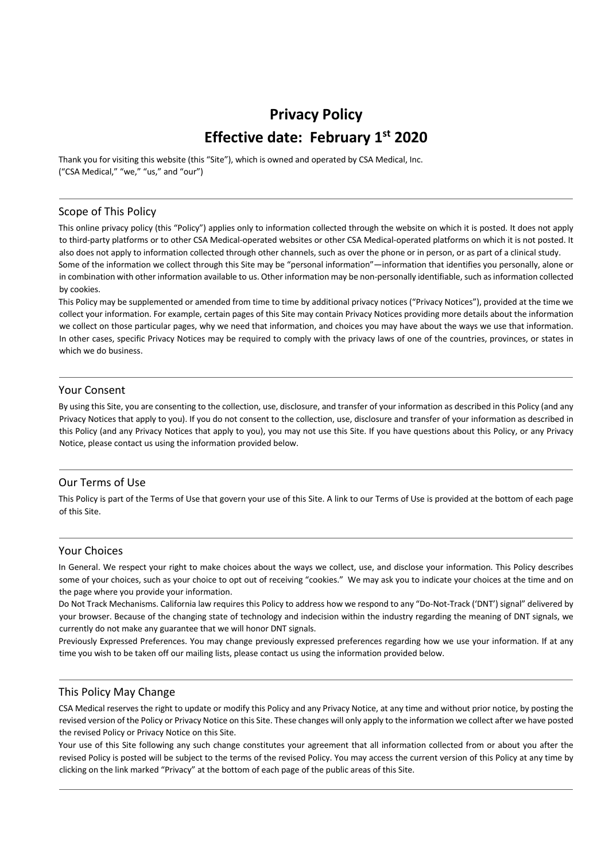# **Privacy Policy Effective date: February 1st 2020**

Thank you for visiting this website (this "Site"), which is owned and operated by CSA Medical, Inc. ("CSA Medical," "we," "us," and "our")

#### Scope of This Policy

This online privacy policy (this "Policy") applies only to information collected through the website on which it is posted. It does not apply to third-party platforms or to other CSA Medical-operated websites or other CSA Medical-operated platforms on which it is not posted. It also does not apply to information collected through other channels, such as over the phone or in person, or as part of a clinical study. Some of the information we collect through this Site may be "personal information"—information that identifies you personally, alone or in combination with other information available to us. Other information may be non-personally identifiable, such as information collected by cookies.

This Policy may be supplemented or amended from time to time by additional privacy notices ("Privacy Notices"), provided at the time we collect your information. For example, certain pages of this Site may contain Privacy Notices providing more details about the information we collect on those particular pages, why we need that information, and choices you may have about the ways we use that information. In other cases, specific Privacy Notices may be required to comply with the privacy laws of one of the countries, provinces, or states in which we do business.

## Your Consent

By using this Site, you are consenting to the collection, use, disclosure, and transfer of your information as described in this Policy (and any Privacy Notices that apply to you). If you do not consent to the collection, use, disclosure and transfer of your information as described in this Policy (and any Privacy Notices that apply to you), you may not use this Site. If you have questions about this Policy, or any Privacy Notice, please contact us using the information provided below.

## Our Terms of Use

This Policy is part of the Terms of Use that govern your use of this Site. A link to our Terms of Use is provided at the bottom of each page of this Site.

#### Your Choices

In General. We respect your right to make choices about the ways we collect, use, and disclose your information. This Policy describes some of your choices, such as your choice to opt out of receiving "cookies." We may ask you to indicate your choices at the time and on the page where you provide your information.

Do Not Track Mechanisms. California law requires this Policy to address how we respond to any "Do-Not-Track ('DNT') signal" delivered by your browser. Because of the changing state of technology and indecision within the industry regarding the meaning of DNT signals, we currently do not make any guarantee that we will honor DNT signals.

Previously Expressed Preferences. You may change previously expressed preferences regarding how we use your information. If at any time you wish to be taken off our mailing lists, please contact us using the information provided below.

# This Policy May Change

CSA Medical reserves the right to update or modify this Policy and any Privacy Notice, at any time and without prior notice, by posting the revised version of the Policy or Privacy Notice on this Site. These changes will only apply to the information we collect after we have posted the revised Policy or Privacy Notice on this Site.

Your use of this Site following any such change constitutes your agreement that all information collected from or about you after the revised Policy is posted will be subject to the terms of the revised Policy. You may access the current version of this Policy at any time by clicking on the link marked "Privacy" at the bottom of each page of the public areas of this Site.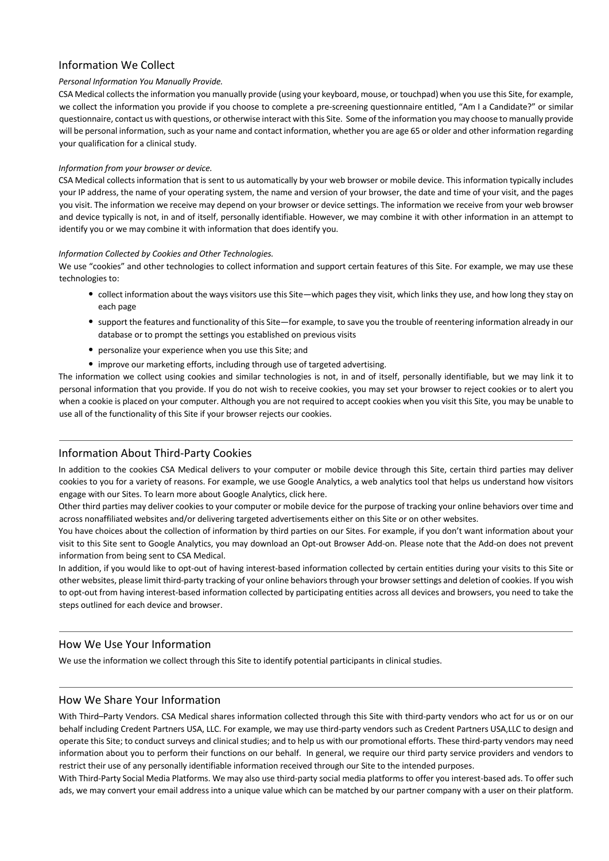# Information We Collect

## *Personal Information You Manually Provide.*

CSA Medical collects the information you manually provide (using your keyboard, mouse, or touchpad) when you use this Site, for example, we collect the information you provide if you choose to complete a pre-screening questionnaire entitled, "Am I a Candidate?" or similar questionnaire, contact us with questions, or otherwise interact with this Site. Some of the information you may choose to manually provide will be personal information, such as your name and contact information, whether you are age 65 or older and other information regarding your qualification for a clinical study.

#### *Information from your browser or device.*

CSA Medical collects information that is sent to us automatically by your web browser or mobile device. This information typically includes your IP address, the name of your operating system, the name and version of your browser, the date and time of your visit, and the pages you visit. The information we receive may depend on your browser or device settings. The information we receive from your web browser and device typically is not, in and of itself, personally identifiable. However, we may combine it with other information in an attempt to identify you or we may combine it with information that does identify you.

#### *Information Collected by Cookies and Other Technologies.*

We use "cookies" and other technologies to collect information and support certain features of this Site. For example, we may use these technologies to:

- collect information about the ways visitors use this Site—which pages they visit, which links they use, and how long they stay on each page
- support the features and functionality of this Site—for example, to save you the trouble of reentering information already in our database or to prompt the settings you established on previous visits
- personalize your experience when you use this Site; and
- improve our marketing efforts, including through use of targeted advertising.

The information we collect using cookies and similar technologies is not, in and of itself, personally identifiable, but we may link it to personal information that you provide. If you do not wish to receive cookies, you may set your browser to reject cookies or to alert you when a cookie is placed on your computer. Although you are not required to accept cookies when you visit this Site, you may be unable to use all of the functionality of this Site if your browser rejects our cookies.

# Information About Third-Party Cookies

In addition to the cookies CSA Medical delivers to your computer or mobile device through this Site, certain third parties may deliver cookies to you for a variety of reasons. For example, we use Google Analytics, a web analytics tool that helps us understand how visitors engage with our Sites. To learn more about Google Analytics, click here.

Other third parties may deliver cookies to your computer or mobile device for the purpose of tracking your online behaviors over time and across nonaffiliated websites and/or delivering targeted advertisements either on this Site or on other websites.

You have choices about the collection of information by third parties on our Sites. For example, if you don't want information about your visit to this Site sent to Google Analytics, you may download an Opt-out Browser Add-on. Please note that the Add-on does not prevent information from being sent to CSA Medical.

In addition, if you would like to opt-out of having interest-based information collected by certain entities during your visits to this Site or other websites, please limit third-party tracking of your online behaviors through your browser settings and deletion of cookies. If you wish to opt-out from having interest-based information collected by participating entities across all devices and browsers, you need to take the steps outlined for each device and browser.

# How We Use Your Information

We use the information we collect through this Site to identify potential participants in clinical studies.

## How We Share Your Information

With Third–Party Vendors. CSA Medical shares information collected through this Site with third-party vendors who act for us or on our behalf including Credent Partners USA, LLC. For example, we may use third-party vendors such as Credent Partners USA,LLC to design and operate this Site; to conduct surveys and clinical studies; and to help us with our promotional efforts. These third-party vendors may need information about you to perform their functions on our behalf. In general, we require our third party service providers and vendors to restrict their use of any personally identifiable information received through our Site to the intended purposes.

With Third-Party Social Media Platforms. We may also use third-party social media platforms to offer you interest-based ads. To offer such ads, we may convert your email address into a unique value which can be matched by our partner company with a user on their platform.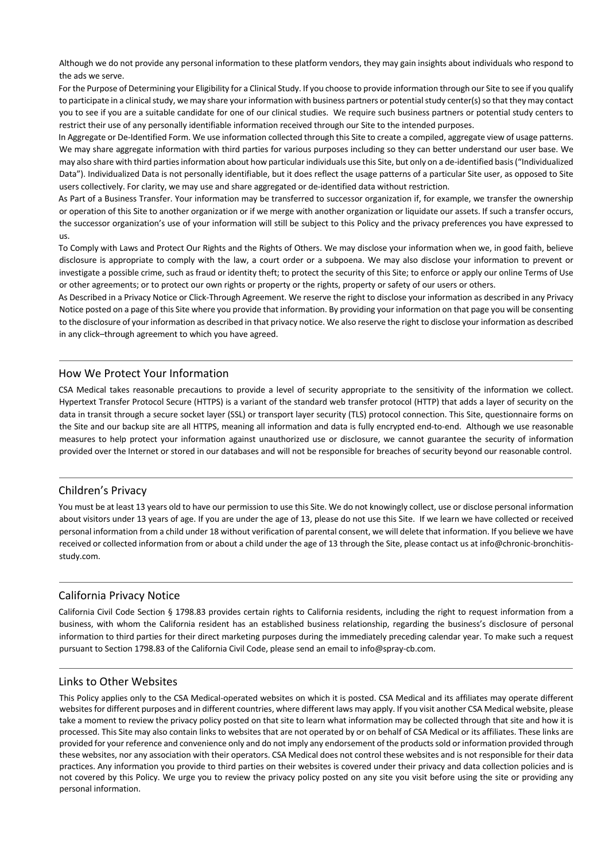Although we do not provide any personal information to these platform vendors, they may gain insights about individuals who respond to the ads we serve.

For the Purpose of Determining your Eligibility for a Clinical Study. If you choose to provide information through our Site to see if you qualify to participate in a clinical study, we may share your information with business partners or potential study center(s) so that they may contact you to see if you are a suitable candidate for one of our clinical studies. We require such business partners or potential study centers to restrict their use of any personally identifiable information received through our Site to the intended purposes.

In Aggregate or De-Identified Form. We use information collected through this Site to create a compiled, aggregate view of usage patterns. We may share aggregate information with third parties for various purposes including so they can better understand our user base. We may also share with third parties information about how particular individuals use this Site, but only on a de-identified basis ("Individualized Data"). Individualized Data is not personally identifiable, but it does reflect the usage patterns of a particular Site user, as opposed to Site users collectively. For clarity, we may use and share aggregated or de-identified data without restriction.

As Part of a Business Transfer. Your information may be transferred to successor organization if, for example, we transfer the ownership or operation of this Site to another organization or if we merge with another organization or liquidate our assets. If such a transfer occurs, the successor organization's use of your information will still be subject to this Policy and the privacy preferences you have expressed to us.

To Comply with Laws and Protect Our Rights and the Rights of Others. We may disclose your information when we, in good faith, believe disclosure is appropriate to comply with the law, a court order or a subpoena. We may also disclose your information to prevent or investigate a possible crime, such as fraud or identity theft; to protect the security of this Site; to enforce or apply our online Terms of Use or other agreements; or to protect our own rights or property or the rights, property or safety of our users or others.

As Described in a Privacy Notice or Click-Through Agreement. We reserve the right to disclose your information as described in any Privacy Notice posted on a page of this Site where you provide that information. By providing your information on that page you will be consenting to the disclosure of your information as described in that privacy notice. We also reserve the right to disclose your information as described in any click–through agreement to which you have agreed.

## How We Protect Your Information

CSA Medical takes reasonable precautions to provide a level of security appropriate to the sensitivity of the information we collect. Hypertext Transfer Protocol Secure (HTTPS) is a variant of the standard web transfer protocol (HTTP) that adds a layer of security on the data in transit through a secure socket layer (SSL) or transport layer security (TLS) protocol connection. This Site, questionnaire forms on the Site and our backup site are all HTTPS, meaning all information and data is fully encrypted end-to-end. Although we use reasonable measures to help protect your information against unauthorized use or disclosure, we cannot guarantee the security of information provided over the Internet or stored in our databases and will not be responsible for breaches of security beyond our reasonable control.

# Children's Privacy

You must be at least 13 years old to have our permission to use this Site. We do not knowingly collect, use or disclose personal information about visitors under 13 years of age. If you are under the age of 13, please do not use this Site. If we learn we have collected or received personal information from a child under 18 without verification of parental consent, we will delete that information. If you believe we have received or collected information from or about a child under the age of 13 through the Site, please contact us at info@chronic-bronchitisstudy.com.

# California Privacy Notice

California Civil Code Section § 1798.83 provides certain rights to California residents, including the right to request information from a business, with whom the California resident has an established business relationship, regarding the business's disclosure of personal information to third parties for their direct marketing purposes during the immediately preceding calendar year. To make such a request pursuant to Section 1798.83 of the California Civil Code, please send an email to info@spray-cb.com.

## Links to Other Websites

This Policy applies only to the CSA Medical-operated websites on which it is posted. CSA Medical and its affiliates may operate different websites for different purposes and in different countries, where different laws may apply. If you visit another CSA Medical website, please take a moment to review the privacy policy posted on that site to learn what information may be collected through that site and how it is processed. This Site may also contain links to websites that are not operated by or on behalf of CSA Medical or its affiliates. These links are provided for your reference and convenience only and do not imply any endorsement of the products sold or information provided through these websites, nor any association with their operators. CSA Medical does not control these websites and is not responsible for their data practices. Any information you provide to third parties on their websites is covered under their privacy and data collection policies and is not covered by this Policy. We urge you to review the privacy policy posted on any site you visit before using the site or providing any personal information.